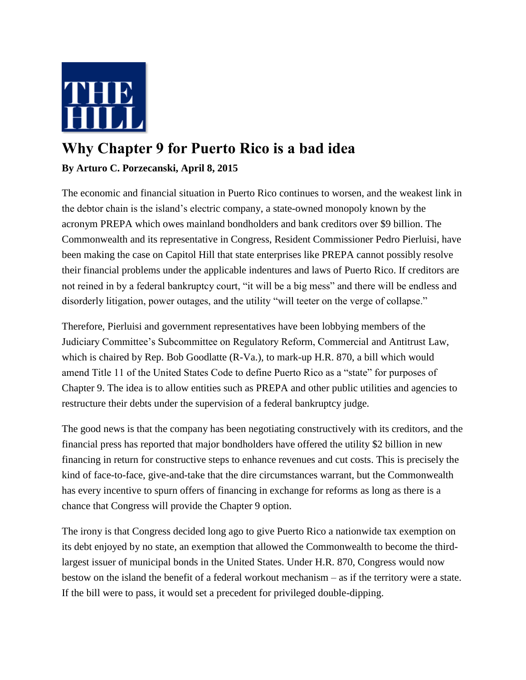

## **Why Chapter 9 for Puerto Rico is a bad idea**

## **By Arturo C. Porzecanski, April 8, 2015**

The economic and financial situation in Puerto Rico continues to worsen, and the weakest link in the debtor chain is the island's electric company, a state-owned monopoly known by the acronym PREPA which owes mainland bondholders and bank creditors over \$9 billion. The Commonwealth and its representative in Congress, Resident Commissioner Pedro Pierluisi, have been making the case on Capitol Hill that state enterprises like PREPA cannot possibly resolve their financial problems under the applicable indentures and laws of Puerto Rico. If creditors are not reined in by a federal bankruptcy court, "it will be a big mess" and there will be endless and disorderly litigation, power outages, and the utility "will teeter on the verge of collapse."

Therefore, Pierluisi and government representatives have been lobbying members of the Judiciary Committee's Subcommittee on Regulatory Reform, Commercial and Antitrust Law, which is chaired by Rep. Bob Goodlatte (R-Va.), to mark-up H.R. 870, a bill which would amend Title 11 of the United States Code to define Puerto Rico as a "state" for purposes of Chapter 9. The idea is to allow entities such as PREPA and other public utilities and agencies to restructure their debts under the supervision of a federal bankruptcy judge.

The good news is that the company has been negotiating constructively with its creditors, and the financial press has reported that major bondholders have offered the utility \$2 billion in new financing in return for constructive steps to enhance revenues and cut costs. This is precisely the kind of face-to-face, give-and-take that the dire circumstances warrant, but the Commonwealth has every incentive to spurn offers of financing in exchange for reforms as long as there is a chance that Congress will provide the Chapter 9 option.

The irony is that Congress decided long ago to give Puerto Rico a nationwide tax exemption on its debt enjoyed by no state, an exemption that allowed the Commonwealth to become the thirdlargest issuer of municipal bonds in the United States. Under H.R. 870, Congress would now bestow on the island the benefit of a federal workout mechanism – as if the territory were a state. If the bill were to pass, it would set a precedent for privileged double-dipping.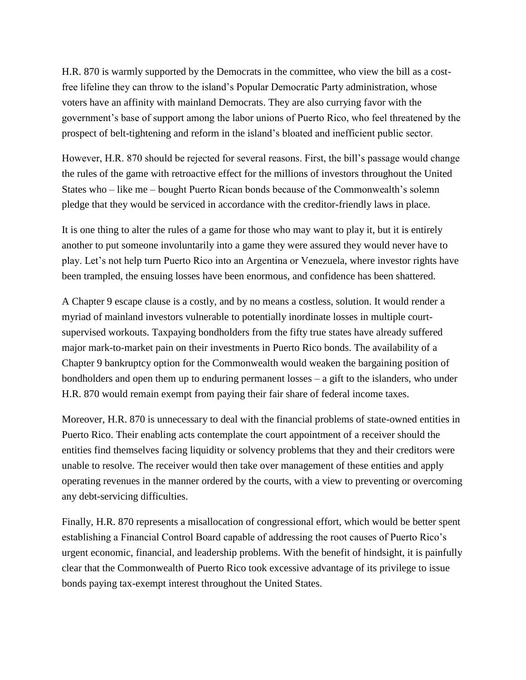H.R. 870 is warmly supported by the Democrats in the committee, who view the bill as a costfree lifeline they can throw to the island's Popular Democratic Party administration, whose voters have an affinity with mainland Democrats. They are also currying favor with the government's base of support among the labor unions of Puerto Rico, who feel threatened by the prospect of belt-tightening and reform in the island's bloated and inefficient public sector.

However, H.R. 870 should be rejected for several reasons. First, the bill's passage would change the rules of the game with retroactive effect for the millions of investors throughout the United States who – like me – bought Puerto Rican bonds because of the Commonwealth's solemn pledge that they would be serviced in accordance with the creditor-friendly laws in place.

It is one thing to alter the rules of a game for those who may want to play it, but it is entirely another to put someone involuntarily into a game they were assured they would never have to play. Let's not help turn Puerto Rico into an Argentina or Venezuela, where investor rights have been trampled, the ensuing losses have been enormous, and confidence has been shattered.

A Chapter 9 escape clause is a costly, and by no means a costless, solution. It would render a myriad of mainland investors vulnerable to potentially inordinate losses in multiple courtsupervised workouts. Taxpaying bondholders from the fifty true states have already suffered major mark-to-market pain on their investments in Puerto Rico bonds. The availability of a Chapter 9 bankruptcy option for the Commonwealth would weaken the bargaining position of bondholders and open them up to enduring permanent losses – a gift to the islanders, who under H.R. 870 would remain exempt from paying their fair share of federal income taxes.

Moreover, H.R. 870 is unnecessary to deal with the financial problems of state-owned entities in Puerto Rico. Their enabling acts contemplate the court appointment of a receiver should the entities find themselves facing liquidity or solvency problems that they and their creditors were unable to resolve. The receiver would then take over management of these entities and apply operating revenues in the manner ordered by the courts, with a view to preventing or overcoming any debt-servicing difficulties.

Finally, H.R. 870 represents a misallocation of congressional effort, which would be better spent establishing a Financial Control Board capable of addressing the root causes of Puerto Rico's urgent economic, financial, and leadership problems. With the benefit of hindsight, it is painfully clear that the Commonwealth of Puerto Rico took excessive advantage of its privilege to issue bonds paying tax-exempt interest throughout the United States.